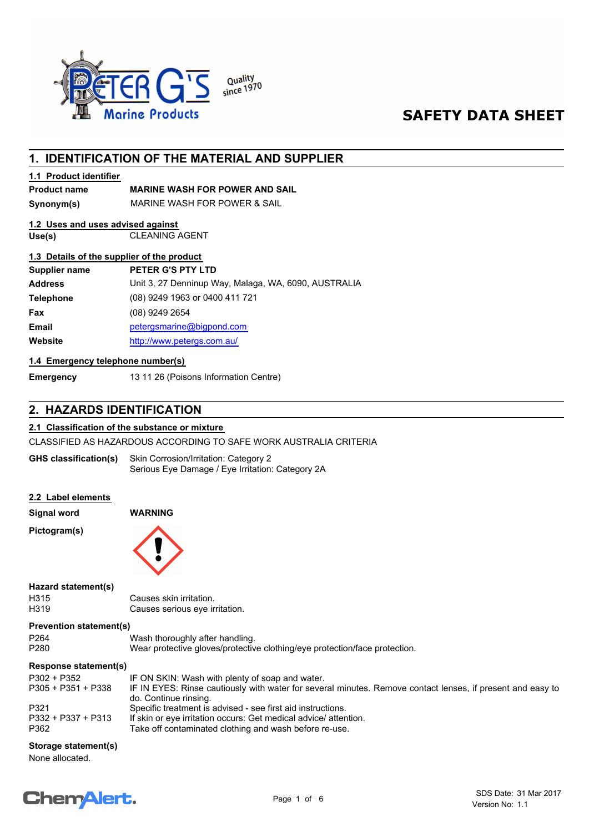

## **SAFETY DATA SHEET**

## **1. IDENTIFICATION OF THE MATERIAL AND SUPPLIER**

#### **1.1 Product identifier**

### **Product name MARINE WASH FOR POWER AND SAIL**

**Synonym(s)** MARINE WASH FOR POWER & SAIL

## **1.2 Uses and uses advised against**

**Use(s)** CLEANING AGENT

#### **1.3 Details of the supplier of the product**

| Supplier name    | PETER G'S PTY LTD                                    |
|------------------|------------------------------------------------------|
| <b>Address</b>   | Unit 3, 27 Denninup Way, Malaga, WA, 6090, AUSTRALIA |
| <b>Telephone</b> | (08) 9249 1963 or 0400 411 721                       |
| Fax              | (08) 9249 2654                                       |
| <b>Email</b>     | petergsmarine@bigpond.com                            |
| Website          | http://www.petergs.com.au/                           |
|                  |                                                      |

#### **1.4 Emergency telephone number(s)**

**Emergency** 13 11 26 (Poisons Information Centre)

## **2. HAZARDS IDENTIFICATION**

#### **2.1 Classification of the substance or mixture**

CLASSIFIED AS HAZARDOUS ACCORDING TO SAFE WORK AUSTRALIA CRITERIA

Skin Corrosion/Irritation: Category 2 Serious Eye Damage / Eye Irritation: Category 2A **GHS classification(s)**

#### **2.2 Label elements**

**Signal word WARNING** H315 Causes skin irritation.<br>
H319 Causes serious eve in **Hazard statement(s) Pictogram(s)**

Causes serious eye irritation.

## **Prevention statement(s)**

| P264 | Wash thoroughly after handling.                                            |
|------|----------------------------------------------------------------------------|
| P280 | Wear protective gloves/protective clothing/eye protection/face protection. |
|      |                                                                            |

## **Response statement(s)**

| P302 + P352          | IF ON SKIN: Wash with plenty of soap and water.                                                                                     |
|----------------------|-------------------------------------------------------------------------------------------------------------------------------------|
| $P305 + P351 + P338$ | IF IN EYES: Rinse cautiously with water for several minutes. Remove contact lenses, if present and easy to<br>do. Continue rinsing. |
| P321                 | Specific treatment is advised - see first aid instructions.                                                                         |
| P332 + P337 + P313   | If skin or eve irritation occurs: Get medical advice/ attention.                                                                    |
| P362                 | Take off contaminated clothing and wash before re-use.                                                                              |

#### **Storage statement(s)**

None allocated.

## **Chemalert.**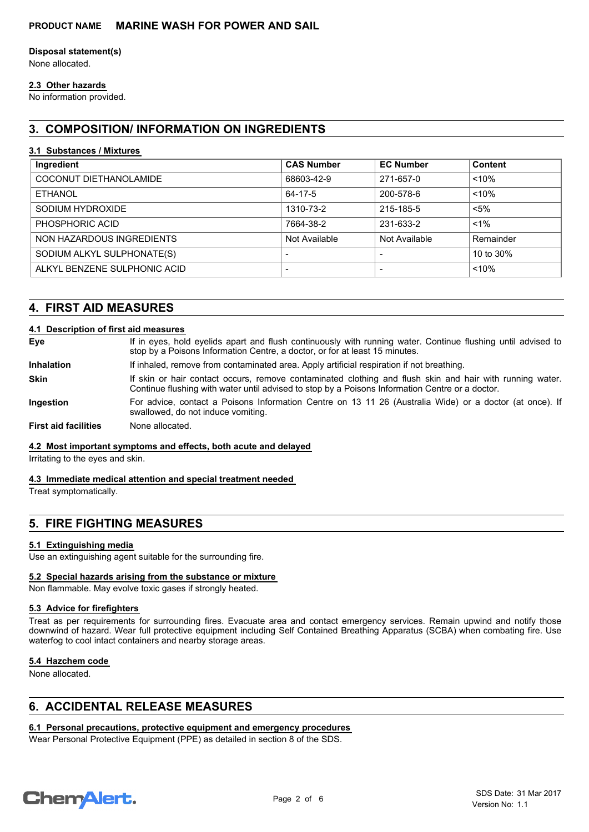## **Disposal statement(s)**

None allocated.

#### **2.3 Other hazards**

No information provided.

## **3. COMPOSITION/ INFORMATION ON INGREDIENTS**

#### **3.1 Substances / Mixtures**

| Ingredient                   | <b>CAS Number</b>        | <b>EC Number</b>         | <b>Content</b> |
|------------------------------|--------------------------|--------------------------|----------------|
| COCONUT DIETHANOLAMIDE       | 68603-42-9               | 271-657-0                | < 10%          |
| ETHANOL                      | 64-17-5                  | 200-578-6                | < 10%          |
| SODIUM HYDROXIDE             | 1310-73-2                | 215-185-5                | $< 5\%$        |
| PHOSPHORIC ACID              | 7664-38-2                | 231-633-2                | $< 1\%$        |
| NON HAZARDOUS INGREDIENTS    | Not Available            | Not Available            | Remainder      |
| SODIUM ALKYL SULPHONATE(S)   | $\overline{\phantom{0}}$ | $\overline{\phantom{0}}$ | 10 to 30%      |
| ALKYL BENZENE SULPHONIC ACID | $\overline{\phantom{a}}$ | $\overline{\phantom{a}}$ | < 10%          |

## **4. FIRST AID MEASURES**

#### **4.1 Description of first aid measures**

| Eye                         | If in eyes, hold eyelids apart and flush continuously with running water. Continue flushing until advised to<br>stop by a Poisons Information Centre, a doctor, or for at least 15 minutes.                 |
|-----------------------------|-------------------------------------------------------------------------------------------------------------------------------------------------------------------------------------------------------------|
| <b>Inhalation</b>           | If inhaled, remove from contaminated area. Apply artificial respiration if not breathing.                                                                                                                   |
| <b>Skin</b>                 | If skin or hair contact occurs, remove contaminated clothing and flush skin and hair with running water.<br>Continue flushing with water until advised to stop by a Poisons Information Centre or a doctor. |
| Ingestion                   | For advice, contact a Poisons Information Centre on 13 11 26 (Australia Wide) or a doctor (at once). If<br>swallowed, do not induce vomiting.                                                               |
| <b>First aid facilities</b> | None allocated.                                                                                                                                                                                             |

#### **4.2 Most important symptoms and effects, both acute and delayed**

Irritating to the eyes and skin.

#### **4.3 Immediate medical attention and special treatment needed**

Treat symptomatically.

## **5. FIRE FIGHTING MEASURES**

#### **5.1 Extinguishing media**

Use an extinguishing agent suitable for the surrounding fire.

#### **5.2 Special hazards arising from the substance or mixture**

Non flammable. May evolve toxic gases if strongly heated.

#### **5.3 Advice for firefighters**

Treat as per requirements for surrounding fires. Evacuate area and contact emergency services. Remain upwind and notify those downwind of hazard. Wear full protective equipment including Self Contained Breathing Apparatus (SCBA) when combating fire. Use waterfog to cool intact containers and nearby storage areas.

#### **5.4 Hazchem code**

None allocated.

## **6. ACCIDENTAL RELEASE MEASURES**

#### **6.1 Personal precautions, protective equipment and emergency procedures**

Wear Personal Protective Equipment (PPE) as detailed in section 8 of the SDS.

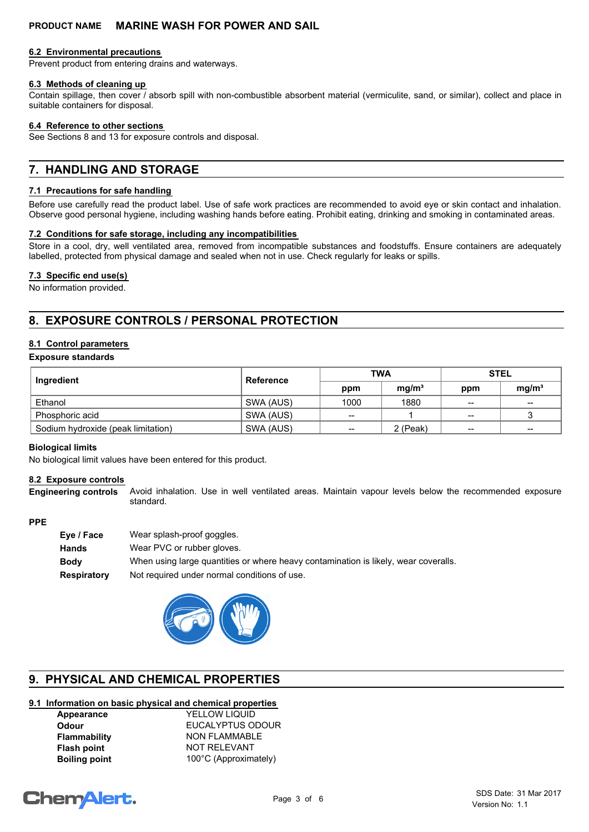#### **6.2 Environmental precautions**

Prevent product from entering drains and waterways.

#### **6.3 Methods of cleaning up**

Contain spillage, then cover / absorb spill with non-combustible absorbent material (vermiculite, sand, or similar), collect and place in suitable containers for disposal.

#### **6.4 Reference to other sections**

See Sections 8 and 13 for exposure controls and disposal.

## **7. HANDLING AND STORAGE**

#### **7.1 Precautions for safe handling**

Before use carefully read the product label. Use of safe work practices are recommended to avoid eye or skin contact and inhalation. Observe good personal hygiene, including washing hands before eating. Prohibit eating, drinking and smoking in contaminated areas.

#### **7.2 Conditions for safe storage, including any incompatibilities**

Store in a cool, dry, well ventilated area, removed from incompatible substances and foodstuffs. Ensure containers are adequately labelled, protected from physical damage and sealed when not in use. Check regularly for leaks or spills.

#### **7.3 Specific end use(s)**

No information provided.

## **8. EXPOSURE CONTROLS / PERSONAL PROTECTION**

#### **8.1 Control parameters**

#### **Exposure standards**

| Ingredient                         | <b>Reference</b> | <b>TWA</b>               |                   | <b>STEL</b>              |                                       |
|------------------------------------|------------------|--------------------------|-------------------|--------------------------|---------------------------------------|
|                                    |                  | ppm                      | mq/m <sup>3</sup> | ppm                      | mg/m <sup>3</sup>                     |
| Ethanol                            | SWA (AUS)        | 1000                     | 1880              | $-$                      | $\hspace{0.05cm}$ – $\hspace{0.05cm}$ |
| Phosphoric acid                    | SWA (AUS)        | --                       |                   | $\overline{\phantom{a}}$ |                                       |
| Sodium hydroxide (peak limitation) | SWA (AUS)        | $\overline{\phantom{a}}$ | 2 (Peak)          | $\overline{\phantom{a}}$ | $\overline{\phantom{m}}$              |

#### **Biological limits**

No biological limit values have been entered for this product.

#### **8.2 Exposure controls**

**Engineering controls**

Avoid inhalation. Use in well ventilated areas. Maintain vapour levels below the recommended exposure standard.

#### **PPE**

| Eve / Face  | Wear splash-proof goggles.                                                          |
|-------------|-------------------------------------------------------------------------------------|
| Hands       | Wear PVC or rubber gloves.                                                          |
| Bodv        | When using large quantities or where heavy contamination is likely, wear coveralls. |
| Respiratory | Not required under normal conditions of use.                                        |
|             |                                                                                     |



## **9. PHYSICAL AND CHEMICAL PROPERTIES**

#### **9.1 Information on basic physical and chemical properties**

| Appearance           |
|----------------------|
| Odour                |
| <b>Flammability</b>  |
| <b>Flash point</b>   |
| <b>Boiling point</b> |

**YELLOW LIQUID Odour** EUCALYPTUS ODOUR **NON FLAMMABLE Flash point** NOT RELEVANT 100°C (Approximately)

# **ChemAlert.**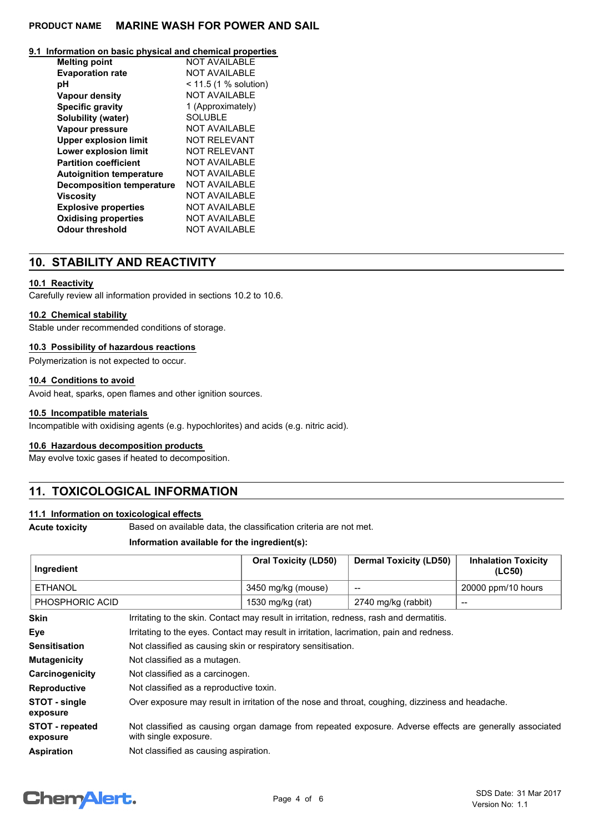#### **9.1 Information on basic physical and chemical properties**

| <b>Melting point</b>             | <b>NOT AVAILABLE</b>    |
|----------------------------------|-------------------------|
| <b>Evaporation rate</b>          | <b>NOT AVAILABLE</b>    |
| рH                               | $< 11.5$ (1 % solution) |
| <b>Vapour density</b>            | <b>NOT AVAILABLE</b>    |
| <b>Specific gravity</b>          | 1 (Approximately)       |
| Solubility (water)               | <b>SOLUBLE</b>          |
| Vapour pressure                  | NOT AVAILABLE           |
| <b>Upper explosion limit</b>     | <b>NOT RELEVANT</b>     |
| <b>Lower explosion limit</b>     | <b>NOT RELEVANT</b>     |
| <b>Partition coefficient</b>     | NOT AVAILABLE           |
| <b>Autoignition temperature</b>  | NOT AVAILABLE           |
| <b>Decomposition temperature</b> | NOT AVAILABLE           |
| <b>Viscosity</b>                 | NOT AVAILABLE           |
| <b>Explosive properties</b>      | <b>NOT AVAILABLE</b>    |
| <b>Oxidising properties</b>      | <b>NOT AVAILABLE</b>    |
| <b>Odour threshold</b>           | <b>NOT AVAILABLE</b>    |

## **10. STABILITY AND REACTIVITY**

#### **10.1 Reactivity**

Carefully review all information provided in sections 10.2 to 10.6.

#### **10.2 Chemical stability**

Stable under recommended conditions of storage.

#### **10.3 Possibility of hazardous reactions**

Polymerization is not expected to occur.

#### **10.4 Conditions to avoid**

Avoid heat, sparks, open flames and other ignition sources.

#### **10.5 Incompatible materials**

Incompatible with oxidising agents (e.g. hypochlorites) and acids (e.g. nitric acid).

#### **10.6 Hazardous decomposition products**

May evolve toxic gases if heated to decomposition.

## **11. TOXICOLOGICAL INFORMATION**

#### **11.1 Information on toxicological effects**

**Acute toxicity** Based on available data, the classification criteria are not met.

## **Information available for the ingredient(s):**

| Ingredient                         |                                                                                                                                  | <b>Oral Toxicity (LD50)</b> | <b>Dermal Toxicity (LD50)</b> | <b>Inhalation Toxicity</b><br>(LC50) |
|------------------------------------|----------------------------------------------------------------------------------------------------------------------------------|-----------------------------|-------------------------------|--------------------------------------|
| <b>ETHANOL</b>                     |                                                                                                                                  | 3450 mg/kg (mouse)          |                               | 20000 ppm/10 hours                   |
| PHOSPHORIC ACID                    |                                                                                                                                  | 1530 mg/kg (rat)            | 2740 mg/kg (rabbit)           | --                                   |
| <b>Skin</b>                        | Irritating to the skin. Contact may result in irritation, redness, rash and dermatitis.                                          |                             |                               |                                      |
| Eye                                | Irritating to the eyes. Contact may result in irritation, lacrimation, pain and redness.                                         |                             |                               |                                      |
| <b>Sensitisation</b>               | Not classified as causing skin or respiratory sensitisation.                                                                     |                             |                               |                                      |
| <b>Mutagenicity</b>                | Not classified as a mutagen.                                                                                                     |                             |                               |                                      |
| Carcinogenicity                    | Not classified as a carcinogen.                                                                                                  |                             |                               |                                      |
| <b>Reproductive</b>                | Not classified as a reproductive toxin.                                                                                          |                             |                               |                                      |
| STOT - single<br>exposure          | Over exposure may result in irritation of the nose and throat, coughing, dizziness and headache.                                 |                             |                               |                                      |
| <b>STOT - repeated</b><br>exposure | Not classified as causing organ damage from repeated exposure. Adverse effects are generally associated<br>with single exposure. |                             |                               |                                      |
| <b>Aspiration</b>                  | Not classified as causing aspiration.                                                                                            |                             |                               |                                      |

## **Chemalert.**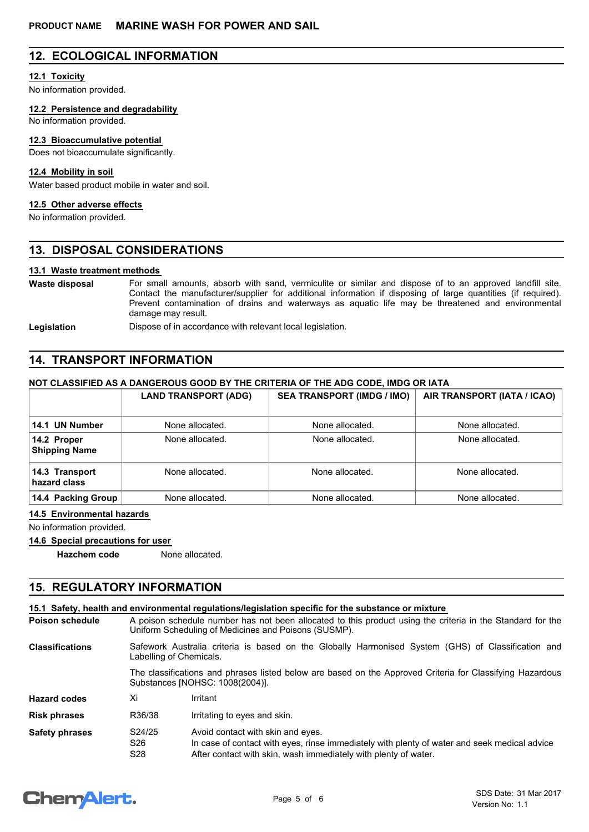## **12. ECOLOGICAL INFORMATION**

#### **12.1 Toxicity**

No information provided.

**12.2 Persistence and degradability**

No information provided.

#### **12.3 Bioaccumulative potential**

Does not bioaccumulate significantly.

#### **12.4 Mobility in soil**

Water based product mobile in water and soil.

## **12.5 Other adverse effects**

No information provided.

## **13. DISPOSAL CONSIDERATIONS**

#### **13.1 Waste treatment methods**

For small amounts, absorb with sand, vermiculite or similar and dispose of to an approved landfill site. Contact the manufacturer/supplier for additional information if disposing of large quantities (if required). Prevent contamination of drains and waterways as aquatic life may be threatened and environmental damage may result. **Waste disposal**

Legislation **Dispose of in accordance with relevant local legislation.** 

## **14. TRANSPORT INFORMATION**

## **NOT CLASSIFIED AS A DANGEROUS GOOD BY THE CRITERIA OF THE ADG CODE, IMDG OR IATA**

|                                     | <b>LAND TRANSPORT (ADG)</b> | <b>SEA TRANSPORT (IMDG / IMO)</b> | AIR TRANSPORT (IATA / ICAO) |
|-------------------------------------|-----------------------------|-----------------------------------|-----------------------------|
| 14.1 UN Number                      | None allocated.             | None allocated.                   | None allocated.             |
| 14.2 Proper<br><b>Shipping Name</b> | None allocated.             | None allocated.                   | None allocated.             |
| 14.3 Transport<br>hazard class      | None allocated.             | None allocated.                   | None allocated.             |
| 14.4 Packing Group                  | None allocated.             | None allocated.                   | None allocated.             |

#### **14.5 Environmental hazards**

No information provided.

#### **14.6 Special precautions for user**

**Hazchem code** None allocated.

## **15. REGULATORY INFORMATION**

|                        |                                                                                                                                                                    | 15.1 Safety, health and environmental requiations/legislation specific for the substance or mixture                                                                                                  |  |  |
|------------------------|--------------------------------------------------------------------------------------------------------------------------------------------------------------------|------------------------------------------------------------------------------------------------------------------------------------------------------------------------------------------------------|--|--|
| <b>Poison schedule</b> | A poison schedule number has not been allocated to this product using the criteria in the Standard for the<br>Uniform Scheduling of Medicines and Poisons (SUSMP). |                                                                                                                                                                                                      |  |  |
| <b>Classifications</b> | Safework Australia criteria is based on the Globally Harmonised System (GHS) of Classification and<br>Labelling of Chemicals.                                      |                                                                                                                                                                                                      |  |  |
|                        |                                                                                                                                                                    | The classifications and phrases listed below are based on the Approved Criteria for Classifying Hazardous<br>Substances [NOHSC: 1008(2004)].                                                         |  |  |
| <b>Hazard codes</b>    | Xi                                                                                                                                                                 | Irritant                                                                                                                                                                                             |  |  |
| <b>Risk phrases</b>    | R36/38                                                                                                                                                             | Irritating to eyes and skin.                                                                                                                                                                         |  |  |
| <b>Safety phrases</b>  | S24/25<br>S <sub>26</sub><br>S <sub>28</sub>                                                                                                                       | Avoid contact with skin and eyes.<br>In case of contact with eyes, rinse immediately with plenty of water and seek medical advice<br>After contact with skin, wash immediately with plenty of water. |  |  |